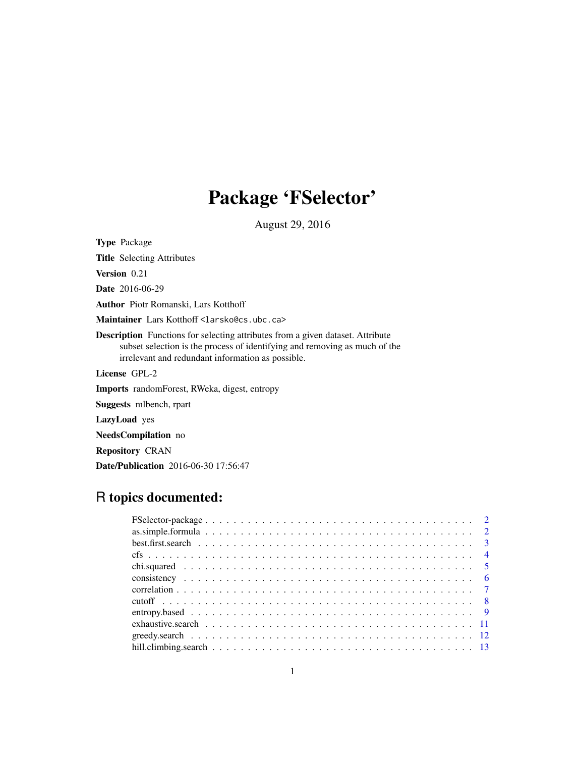## Package 'FSelector'

August 29, 2016

<span id="page-0-0"></span>Type Package Title Selecting Attributes Version 0.21 Date 2016-06-29 Author Piotr Romanski, Lars Kotthoff Maintainer Lars Kotthoff <larsko@cs.ubc.ca> Description Functions for selecting attributes from a given dataset. Attribute subset selection is the process of identifying and removing as much of the irrelevant and redundant information as possible. License GPL-2 Imports randomForest, RWeka, digest, entropy Suggests mlbench, rpart LazyLoad yes NeedsCompilation no Repository CRAN

R topics documented:

Date/Publication 2016-06-30 17:56:47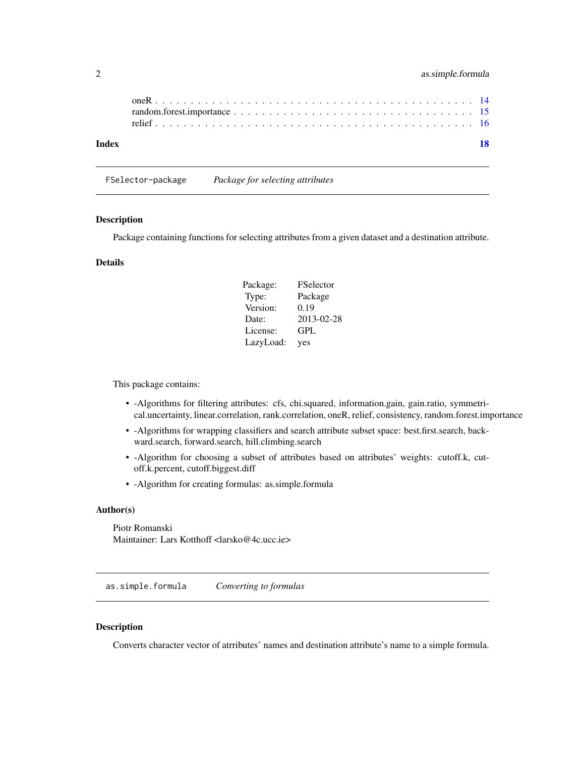<span id="page-1-0"></span>

| Index | 18 |
|-------|----|

FSelector-package *Package for selecting attributes*

## Description

Package containing functions for selecting attributes from a given dataset and a destination attribute.

## Details

| Package:  | <b>FSelector</b> |
|-----------|------------------|
| Type:     | Package          |
| Version:  | 0.19             |
| Date:     | 2013-02-28       |
| License:  | GPL              |
| LazyLoad: | yes              |

This package contains:

- -Algorithms for filtering attributes: cfs, chi.squared, information.gain, gain.ratio, symmetrical.uncertainty, linear.correlation, rank.correlation, oneR, relief, consistency, random.forest.importance
- -Algorithms for wrapping classifiers and search attribute subset space: best.first.search, backward.search, forward.search, hill.climbing.search
- -Algorithm for choosing a subset of attributes based on attributes' weights: cutoff.k, cutoff.k.percent, cutoff.biggest.diff
- -Algorithm for creating formulas: as.simple.formula

## Author(s)

Piotr Romanski Maintainer: Lars Kotthoff <larsko@4c.ucc.ie>

as.simple.formula *Converting to formulas*

## Description

Converts character vector of atrributes' names and destination attribute's name to a simple formula.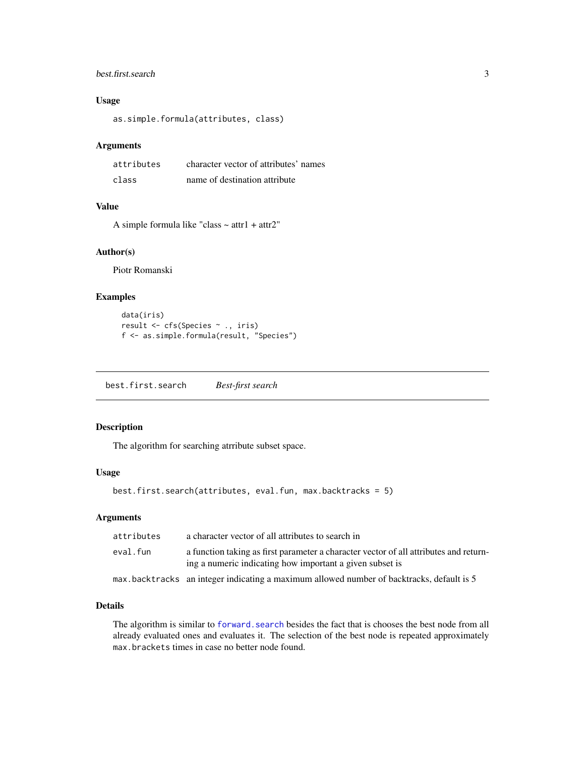## <span id="page-2-0"></span>best.first.search 3

## Usage

as.simple.formula(attributes, class)

#### Arguments

| attributes | character vector of attributes' names |
|------------|---------------------------------------|
| class      | name of destination attribute         |

## Value

A simple formula like "class  $\sim$  attr1 + attr2"

## Author(s)

Piotr Romanski

## Examples

```
data(iris)
result <- cfs(Species ~ ., iris)
f <- as.simple.formula(result, "Species")
```
<span id="page-2-1"></span>best.first.search *Best-first search*

## Description

The algorithm for searching atrribute subset space.

## Usage

```
best.first.search(attributes, eval.fun, max.backtracks = 5)
```
## Arguments

| attributes | a character vector of all attributes to search in                                                                                                 |
|------------|---------------------------------------------------------------------------------------------------------------------------------------------------|
| eval.fun   | a function taking as first parameter a character vector of all attributes and return-<br>ing a numeric indicating how important a given subset is |
|            | max.backtracks an integer indicating a maximum allowed number of backtracks, default is 5                                                         |

## Details

The algorithm is similar to forward. search besides the fact that is chooses the best node from all already evaluated ones and evaluates it. The selection of the best node is repeated approximately max.brackets times in case no better node found.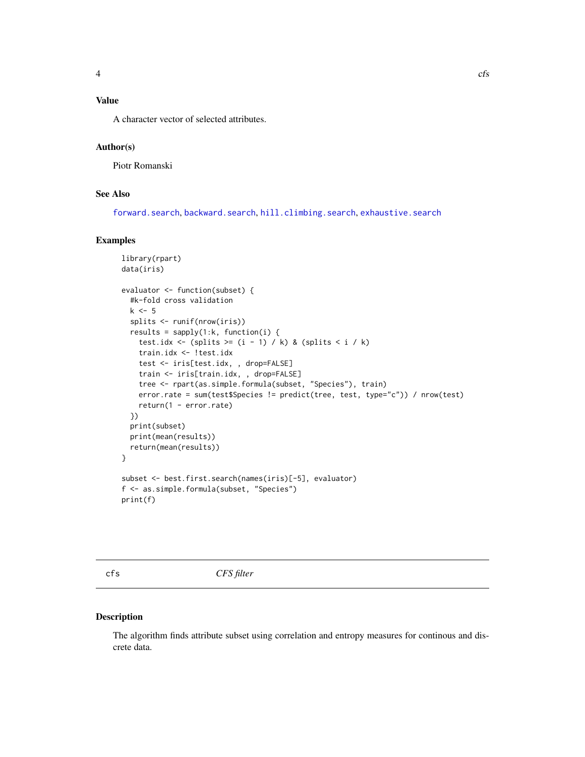## <span id="page-3-0"></span>Value

A character vector of selected attributes.

## Author(s)

Piotr Romanski

## See Also

[forward.search](#page-11-1), [backward.search](#page-11-1), [hill.climbing.search](#page-12-1), [exhaustive.search](#page-10-1)

#### Examples

```
library(rpart)
data(iris)
evaluator <- function(subset) {
  #k-fold cross validation
 k \leq -5splits <- runif(nrow(iris))
 results = sapply(1:k, function(i) {
    test.idx <- (splits >= (i - 1) / k) & (splits < i / k)
    train.idx <- !test.idx
    test <- iris[test.idx, , drop=FALSE]
    train <- iris[train.idx, , drop=FALSE]
    tree <- rpart(as.simple.formula(subset, "Species"), train)
    error.rate = sum(test$Species != predict(tree, test, type="c")) / nrow(test)
    return(1 - error.rate)
  })
  print(subset)
 print(mean(results))
 return(mean(results))
}
subset <- best.first.search(names(iris)[-5], evaluator)
f <- as.simple.formula(subset, "Species")
print(f)
```
cfs *CFS filter*

#### Description

The algorithm finds attribute subset using correlation and entropy measures for continous and discrete data.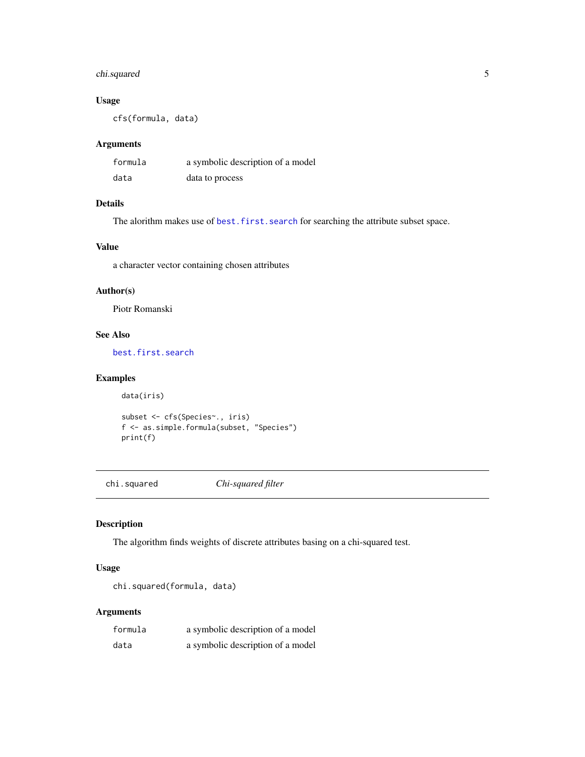## <span id="page-4-0"></span>chi.squared 5

## Usage

cfs(formula, data)

## Arguments

| formula | a symbolic description of a model |
|---------|-----------------------------------|
| data    | data to process                   |

## Details

The alorithm makes use of [best.first.search](#page-2-1) for searching the attribute subset space.

## Value

a character vector containing chosen attributes

### Author(s)

Piotr Romanski

## See Also

[best.first.search](#page-2-1)

## Examples

```
data(iris)
subset <- cfs(Species~., iris)
f <- as.simple.formula(subset, "Species")
print(f)
```
chi.squared *Chi-squared filter*

#### Description

The algorithm finds weights of discrete attributes basing on a chi-squared test.

## Usage

```
chi.squared(formula, data)
```
#### Arguments

| formula | a symbolic description of a model |
|---------|-----------------------------------|
| data    | a symbolic description of a model |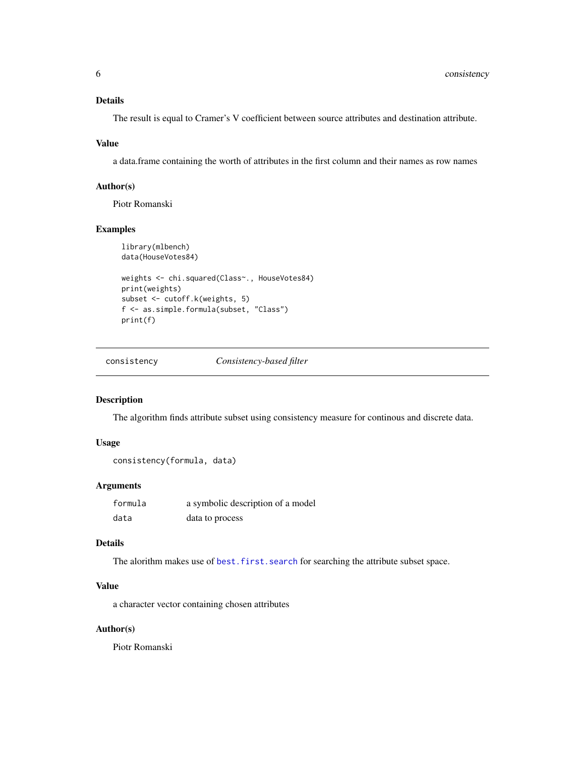## <span id="page-5-0"></span>Details

The result is equal to Cramer's V coefficient between source attributes and destination attribute.

### Value

a data.frame containing the worth of attributes in the first column and their names as row names

#### Author(s)

Piotr Romanski

## Examples

```
library(mlbench)
data(HouseVotes84)
weights <- chi.squared(Class~., HouseVotes84)
print(weights)
subset <- cutoff.k(weights, 5)
f <- as.simple.formula(subset, "Class")
print(f)
```
consistency *Consistency-based filter*

## Description

The algorithm finds attribute subset using consistency measure for continous and discrete data.

## Usage

```
consistency(formula, data)
```
### Arguments

| formula | a symbolic description of a model |
|---------|-----------------------------------|
| data    | data to process                   |

### Details

The alorithm makes use of [best.first.search](#page-2-1) for searching the attribute subset space.

## Value

a character vector containing chosen attributes

## Author(s)

Piotr Romanski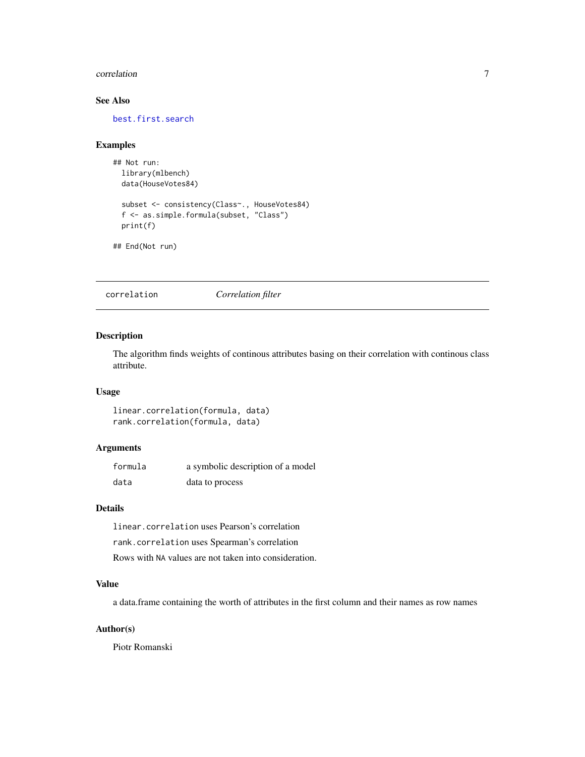#### <span id="page-6-0"></span>correlation 7

## See Also

[best.first.search](#page-2-1)

#### Examples

```
## Not run:
 library(mlbench)
 data(HouseVotes84)
 subset <- consistency(Class~., HouseVotes84)
 f <- as.simple.formula(subset, "Class")
 print(f)
```

```
## End(Not run)
```
correlation *Correlation filter*

## Description

The algorithm finds weights of continous attributes basing on their correlation with continous class attribute.

## Usage

linear.correlation(formula, data) rank.correlation(formula, data)

## Arguments

| formula | a symbolic description of a model |
|---------|-----------------------------------|
| data    | data to process                   |

### Details

linear.correlation uses Pearson's correlation rank.correlation uses Spearman's correlation Rows with NA values are not taken into consideration.

## Value

a data.frame containing the worth of attributes in the first column and their names as row names

## Author(s)

Piotr Romanski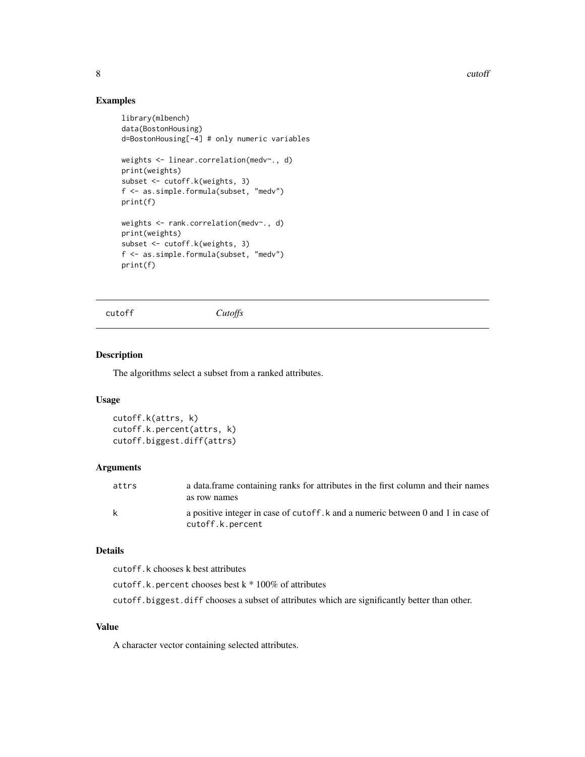8 cutoff and the contract of the contract of the contract of the contract of the contract of the contract of the contract of the contract of the contract of the contract of the contract of the contract of the contract of t

## Examples

```
library(mlbench)
data(BostonHousing)
d=BostonHousing[-4] # only numeric variables
weights <- linear.correlation(medv~., d)
print(weights)
subset <- cutoff.k(weights, 3)
f <- as.simple.formula(subset, "medv")
print(f)
weights <- rank.correlation(medv~., d)
print(weights)
subset <- cutoff.k(weights, 3)
f <- as.simple.formula(subset, "medv")
print(f)
```

```
cutoff Cutoffs
```
## Description

The algorithms select a subset from a ranked attributes.

## Usage

```
cutoff.k(attrs, k)
cutoff.k.percent(attrs, k)
cutoff.biggest.diff(attrs)
```
## Arguments

| attrs        | a data frame containing ranks for attributes in the first column and their names                     |
|--------------|------------------------------------------------------------------------------------------------------|
|              | as row names                                                                                         |
| $\mathsf{k}$ | a positive integer in case of cutoff, k and a numeric between 0 and 1 in case of<br>cutoff.k.percent |

## Details

cutoff.k chooses k best attributes

cutoff.k.percent chooses best k \* 100% of attributes

cutoff.biggest.diff chooses a subset of attributes which are significantly better than other.

## Value

A character vector containing selected attributes.

<span id="page-7-0"></span>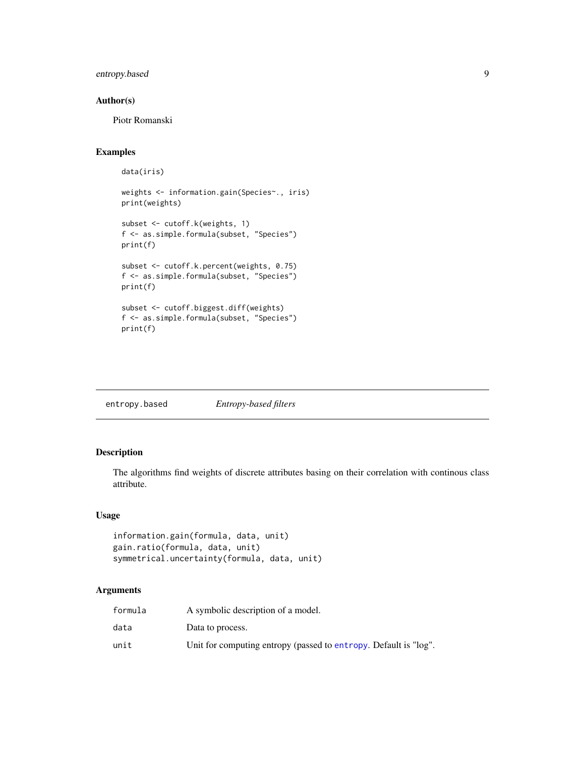## <span id="page-8-0"></span>entropy.based 9

## Author(s)

Piotr Romanski

## Examples

```
data(iris)
weights <- information.gain(Species~., iris)
print(weights)
subset <- cutoff.k(weights, 1)
f <- as.simple.formula(subset, "Species")
print(f)
subset <- cutoff.k.percent(weights, 0.75)
f <- as.simple.formula(subset, "Species")
print(f)
subset <- cutoff.biggest.diff(weights)
f <- as.simple.formula(subset, "Species")
print(f)
```

| entropy.based | Entropy-based filters |
|---------------|-----------------------|
|---------------|-----------------------|

## Description

The algorithms find weights of discrete attributes basing on their correlation with continous class attribute.

## Usage

```
information.gain(formula, data, unit)
gain.ratio(formula, data, unit)
symmetrical.uncertainty(formula, data, unit)
```
## Arguments

| formula | A symbolic description of a model.                               |
|---------|------------------------------------------------------------------|
| data    | Data to process.                                                 |
| unit    | Unit for computing entropy (passed to entropy. Default is "log". |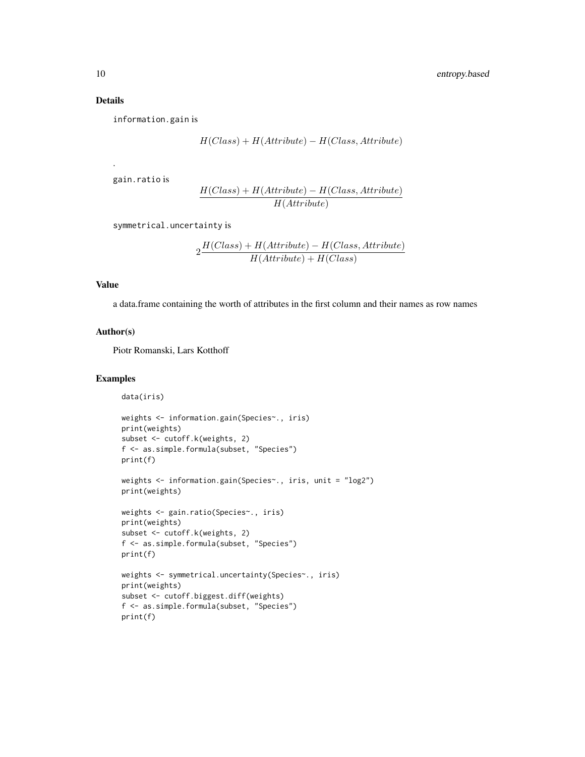## Details

.

information.gain is

$$
H(Class) + H(Attribute) - H(Class,Attribute)
$$

gain.ratio is

$$
\frac{H(Class) + H(Attribute) - H(Class,Attribute)}{H(Attribute)}
$$

symmetrical.uncertainty is

$$
2\frac{H(Class) + H(Attribute) - H(Class,Attribute)}{H(Attribute) + H(Class)}
$$

#### Value

a data.frame containing the worth of attributes in the first column and their names as row names

## Author(s)

Piotr Romanski, Lars Kotthoff

## Examples

```
data(iris)
weights <- information.gain(Species~., iris)
print(weights)
subset <- cutoff.k(weights, 2)
f <- as.simple.formula(subset, "Species")
print(f)
weights <- information.gain(Species~., iris, unit = "log2")
print(weights)
weights <- gain.ratio(Species~., iris)
print(weights)
subset <- cutoff.k(weights, 2)
f <- as.simple.formula(subset, "Species")
print(f)
weights <- symmetrical.uncertainty(Species~., iris)
print(weights)
subset <- cutoff.biggest.diff(weights)
f <- as.simple.formula(subset, "Species")
print(f)
```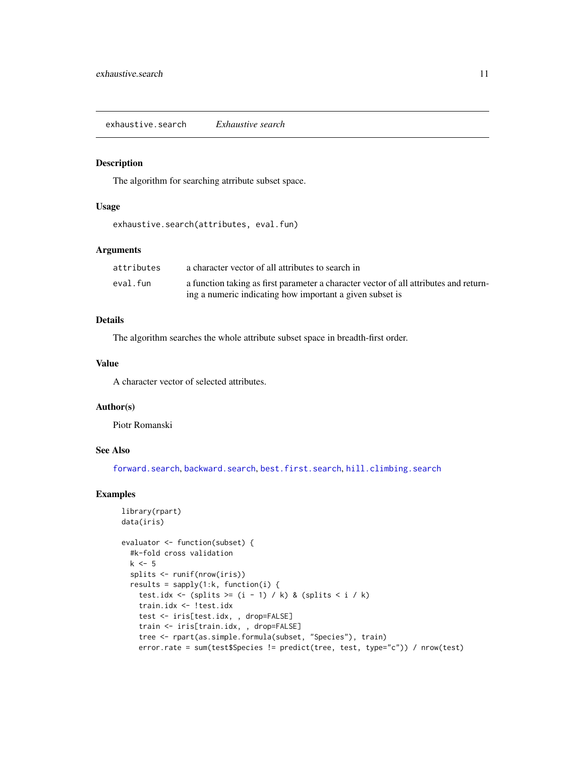<span id="page-10-1"></span><span id="page-10-0"></span>exhaustive.search *Exhaustive search*

## Description

The algorithm for searching atrribute subset space.

#### Usage

exhaustive.search(attributes, eval.fun)

## Arguments

| attributes | a character vector of all attributes to search in                                     |
|------------|---------------------------------------------------------------------------------------|
| eval.fun   | a function taking as first parameter a character vector of all attributes and return- |
|            | ing a numeric indicating how important a given subset is                              |

## Details

The algorithm searches the whole attribute subset space in breadth-first order.

## Value

A character vector of selected attributes.

## Author(s)

Piotr Romanski

## See Also

[forward.search](#page-11-1), [backward.search](#page-11-1), [best.first.search](#page-2-1), [hill.climbing.search](#page-12-1)

## Examples

```
library(rpart)
data(iris)
evaluator <- function(subset) {
  #k-fold cross validation
 k \leq -5splits <- runif(nrow(iris))
 results = sapply(1:k, function(i) {
    test.idx <- (splits >= (i - 1) / k) & (splits < i / k)
    train.idx <- !test.idx
    test <- iris[test.idx, , drop=FALSE]
    train <- iris[train.idx, , drop=FALSE]
    tree <- rpart(as.simple.formula(subset, "Species"), train)
    error.rate = sum(test$Species != predict(tree, test, type="c")) / nrow(test)
```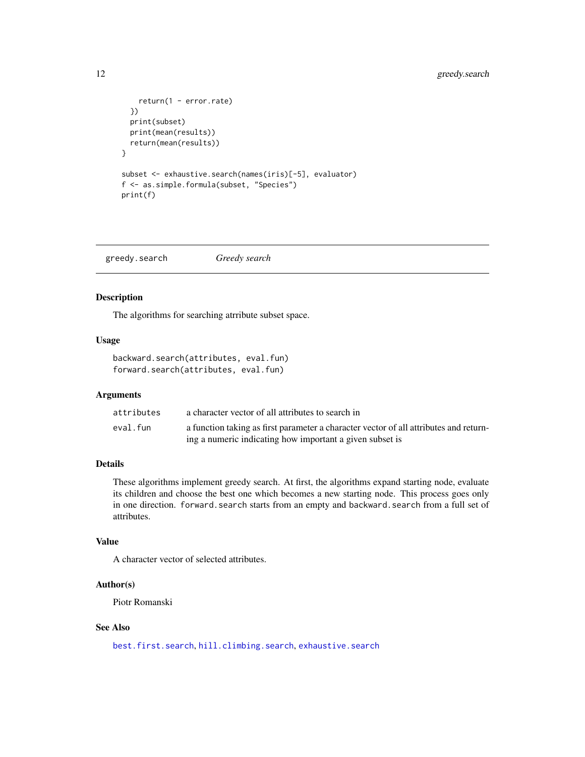## <span id="page-11-0"></span>12 greedy.search

```
return(1 - error.rate)
  })
  print(subset)
  print(mean(results))
  return(mean(results))
}
subset <- exhaustive.search(names(iris)[-5], evaluator)
f <- as.simple.formula(subset, "Species")
print(f)
```
greedy.search *Greedy search*

#### <span id="page-11-1"></span>Description

The algorithms for searching atrribute subset space.

#### Usage

```
backward.search(attributes, eval.fun)
forward.search(attributes, eval.fun)
```
## Arguments

| attributes | a character vector of all attributes to search in                                     |
|------------|---------------------------------------------------------------------------------------|
| eval.fun   | a function taking as first parameter a character vector of all attributes and return- |
|            | ing a numeric indicating how important a given subset is                              |

## Details

These algorithms implement greedy search. At first, the algorithms expand starting node, evaluate its children and choose the best one which becomes a new starting node. This process goes only in one direction. forward.search starts from an empty and backward.search from a full set of attributes.

## Value

A character vector of selected attributes.

#### Author(s)

Piotr Romanski

#### See Also

[best.first.search](#page-2-1), [hill.climbing.search](#page-12-1), [exhaustive.search](#page-10-1)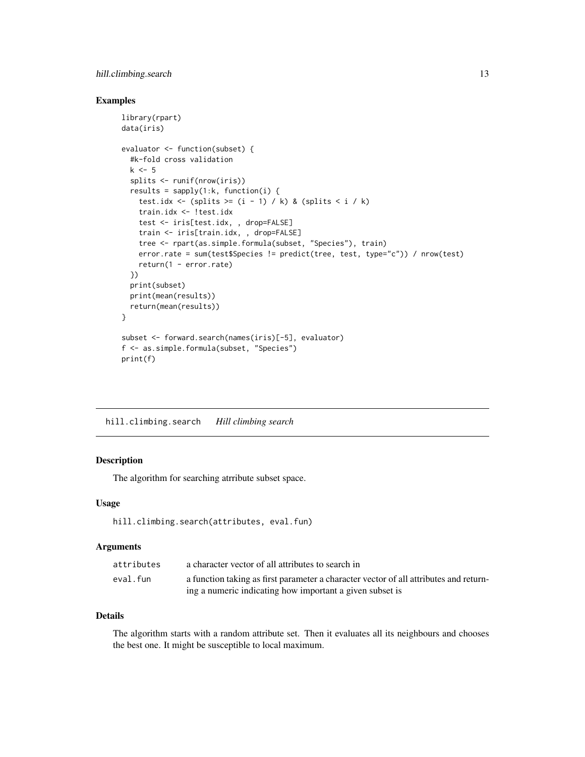## <span id="page-12-0"></span>hill.climbing.search 13

## Examples

```
library(rpart)
data(iris)
evaluator <- function(subset) {
  #k-fold cross validation
 k \leq -5splits <- runif(nrow(iris))
 results = sapply(1:k, function(i)) {
    test.idx <- (splits >= (i - 1) / k) & (splits < i / k)
    train.idx <- !test.idx
    test <- iris[test.idx, , drop=FALSE]
    train <- iris[train.idx, , drop=FALSE]
    tree <- rpart(as.simple.formula(subset, "Species"), train)
    error.rate = sum(test$Species != predict(tree, test, type="c")) / nrow(test)
    return(1 - error.rate)
  })
 print(subset)
 print(mean(results))
 return(mean(results))
}
subset <- forward.search(names(iris)[-5], evaluator)
f <- as.simple.formula(subset, "Species")
print(f)
```

```
hill.climbing.search Hill climbing search
```
### Description

The algorithm for searching atrribute subset space.

#### Usage

```
hill.climbing.search(attributes, eval.fun)
```
#### Arguments

| attributes | a character vector of all attributes to search in                                     |
|------------|---------------------------------------------------------------------------------------|
| eval.fun   | a function taking as first parameter a character vector of all attributes and return- |
|            | ing a numeric indicating how important a given subset is                              |

## Details

The algorithm starts with a random attribute set. Then it evaluates all its neighbours and chooses the best one. It might be susceptible to local maximum.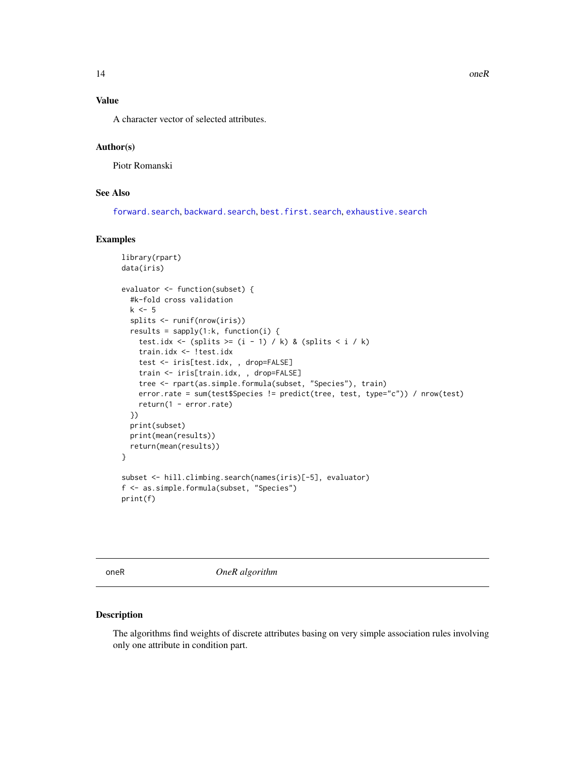## <span id="page-13-0"></span>Value

A character vector of selected attributes.

## Author(s)

Piotr Romanski

## See Also

[forward.search](#page-11-1), [backward.search](#page-11-1), [best.first.search](#page-2-1), [exhaustive.search](#page-10-1)

#### Examples

```
library(rpart)
data(iris)
evaluator <- function(subset) {
  #k-fold cross validation
 k \leq -5splits <- runif(nrow(iris))
 results = sapply(1:k, function(i) {
    test.idx <- (splits >= (i - 1) / k) & (splits < i / k)
    train.idx <- !test.idx
    test <- iris[test.idx, , drop=FALSE]
    train <- iris[train.idx, , drop=FALSE]
    tree <- rpart(as.simple.formula(subset, "Species"), train)
    error.rate = sum(test$Species != predict(tree, test, type="c")) / nrow(test)
    return(1 - error.rate)
 })
  print(subset)
  print(mean(results))
  return(mean(results))
}
subset <- hill.climbing.search(names(iris)[-5], evaluator)
f <- as.simple.formula(subset, "Species")
print(f)
```
oneR *OneR algorithm*

#### Description

The algorithms find weights of discrete attributes basing on very simple association rules involving only one attribute in condition part.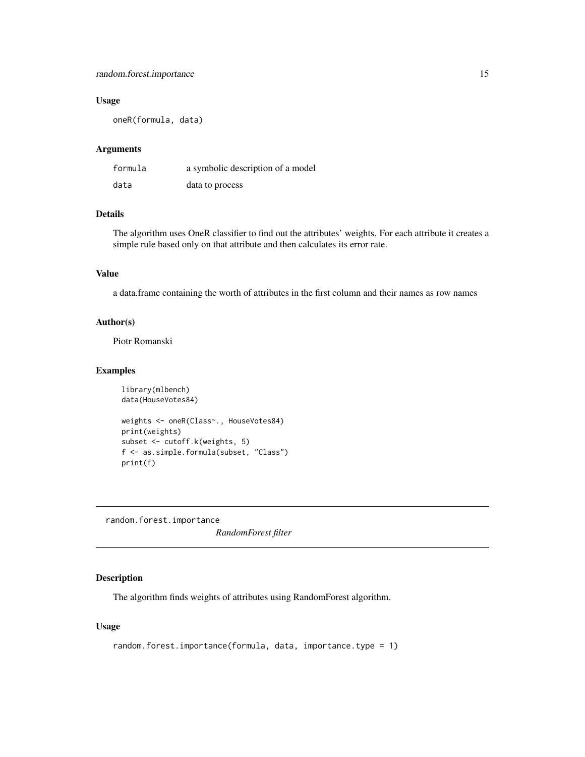## <span id="page-14-0"></span>random.forest.importance 15

## Usage

oneR(formula, data)

#### Arguments

| formula | a symbolic description of a model |
|---------|-----------------------------------|
| data    | data to process                   |

#### Details

The algorithm uses OneR classifier to find out the attributes' weights. For each attribute it creates a simple rule based only on that attribute and then calculates its error rate.

## Value

a data.frame containing the worth of attributes in the first column and their names as row names

#### Author(s)

Piotr Romanski

#### Examples

```
library(mlbench)
data(HouseVotes84)
weights <- oneR(Class~., HouseVotes84)
print(weights)
subset <- cutoff.k(weights, 5)
f <- as.simple.formula(subset, "Class")
print(f)
```
random.forest.importance

*RandomForest filter*

## **Description**

The algorithm finds weights of attributes using RandomForest algorithm.

## Usage

```
random.forest.importance(formula, data, importance.type = 1)
```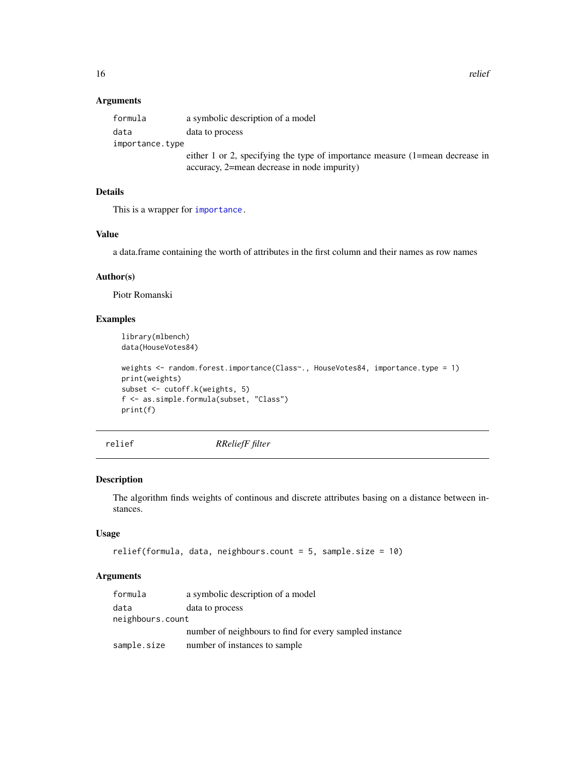16 relief

## Arguments

| formula         | a symbolic description of a model                                                |
|-----------------|----------------------------------------------------------------------------------|
| data            | data to process                                                                  |
| importance.type |                                                                                  |
|                 | either 1 or 2, specifying the type of importance measure $(1)$ =mean decrease in |
|                 | accuracy, 2=mean decrease in node impurity)                                      |

## Details

This is a wrapper for [importance.](#page-0-0)

#### Value

a data.frame containing the worth of attributes in the first column and their names as row names

## Author(s)

Piotr Romanski

## Examples

library(mlbench) data(HouseVotes84)

```
weights <- random.forest.importance(Class~., HouseVotes84, importance.type = 1)
print(weights)
subset <- cutoff.k(weights, 5)
f <- as.simple.formula(subset, "Class")
print(f)
```
relief *RReliefF filter*

## Description

The algorithm finds weights of continous and discrete attributes basing on a distance between instances.

## Usage

```
relief(formula, data, neighbours.count = 5, sample.size = 10)
```
## Arguments

| formula          | a symbolic description of a model                       |  |
|------------------|---------------------------------------------------------|--|
| data             | data to process                                         |  |
| neighbours.count |                                                         |  |
|                  | number of neighbours to find for every sampled instance |  |
| sample.size      | number of instances to sample                           |  |

<span id="page-15-0"></span>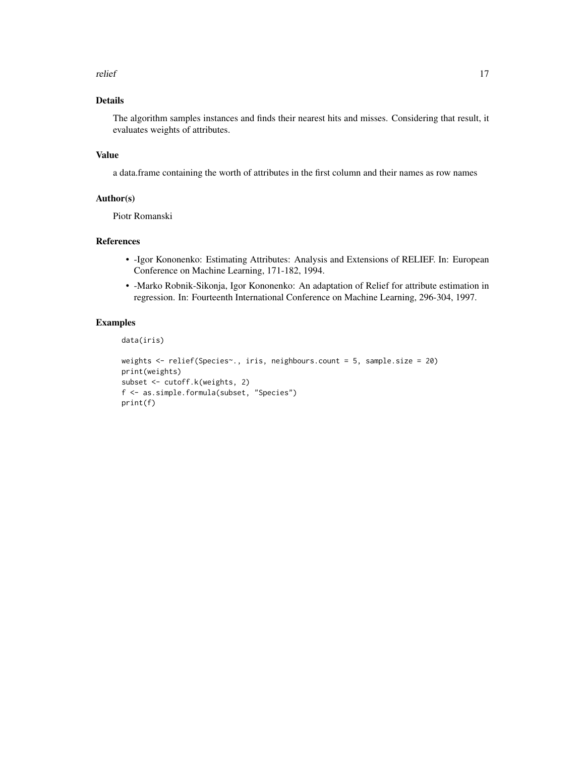#### relief and the set of the set of the set of the set of the set of the set of the set of the set of the set of the set of the set of the set of the set of the set of the set of the set of the set of the set of the set of th

## Details

The algorithm samples instances and finds their nearest hits and misses. Considering that result, it evaluates weights of attributes.

## Value

a data.frame containing the worth of attributes in the first column and their names as row names

#### Author(s)

Piotr Romanski

## References

- -Igor Kononenko: Estimating Attributes: Analysis and Extensions of RELIEF. In: European Conference on Machine Learning, 171-182, 1994.
- -Marko Robnik-Sikonja, Igor Kononenko: An adaptation of Relief for attribute estimation in regression. In: Fourteenth International Conference on Machine Learning, 296-304, 1997.

## Examples

data(iris)

```
weights <- relief(Species~., iris, neighbours.count = 5, sample.size = 20)
print(weights)
subset <- cutoff.k(weights, 2)
f <- as.simple.formula(subset, "Species")
print(f)
```